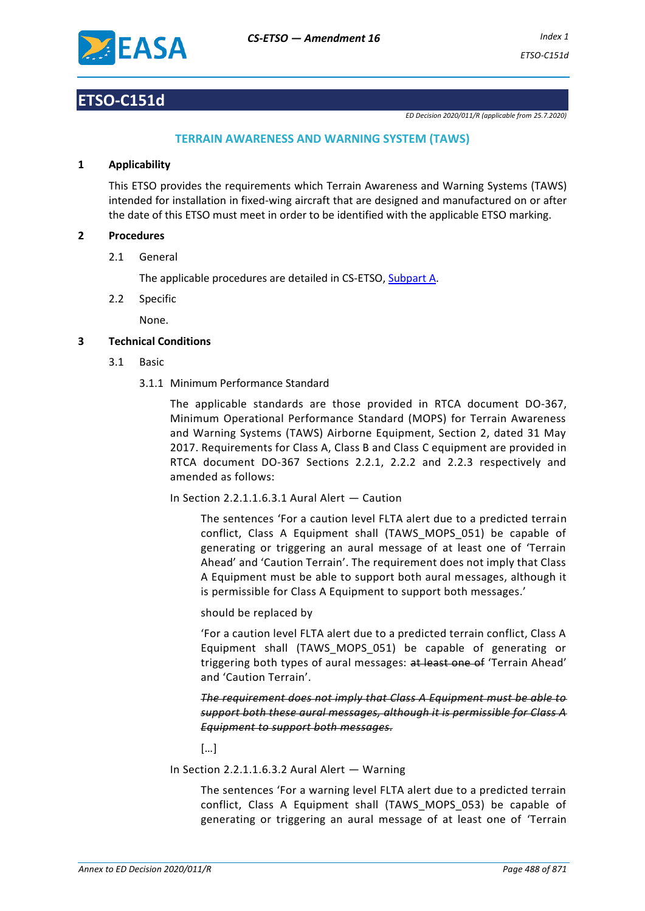

# **ETSO-C151d**

*ED Decision 2020/011/R (applicable from 25.7.2020)*

# **TERRAIN AWARENESS AND WARNING SYSTEM (TAWS)**

## **1 Applicability**

This ETSO provides the requirements which Terrain Awareness and Warning Systems (TAWS) intended for installation in fixed-wing aircraft that are designed and manufactured on or after the date of this ETSO must meet in order to be identified with the applicable ETSO marking.

## **2 Procedures**

2.1 General

The applicable procedures are detailed in CS-ETSO, Subpart A.

2.2 Specific

None.

# **3 Technical Conditions**

- 3.1 Basic
	- 3.1.1 Minimum Performance Standard

The applicable standards are those provided in RTCA document DO-367, Minimum Operational Performance Standard (MOPS) for Terrain Awareness and Warning Systems (TAWS) Airborne Equipment, Section 2, dated 31 May 2017. Requirements for Class A, Class B and Class C equipment are provided in RTCA document DO-367 Sections 2.2.1, 2.2.2 and 2.2.3 respectively and amended as follows:

In Section 2.2.1.1.6.3.1 Aural Alert — Caution

The sentences 'For a caution level FLTA alert due to a predicted terrain conflict, Class A Equipment shall (TAWS\_MOPS\_051) be capable of generating or triggering an aural message of at least one of 'Terrain Ahead' and 'Caution Terrain'. The requirement does not imply that Class A Equipment must be able to support both aural messages, although it is permissible for Class A Equipment to support both messages.'

### should be replaced by

'For a caution level FLTA alert due to a predicted terrain conflict, Class A Equipment shall (TAWS\_MOPS\_051) be capable of generating or triggering both types of aural messages: at least one of 'Terrain Ahead' and 'Caution Terrain'.

*The requirement does not imply that Class A Equipment must be able to support both these aural messages, although it is permissible for Class A Equipment to support both messages.*

[…]

In Section 2.2.1.1.6.3.2 Aural Alert — Warning

The sentences 'For a warning level FLTA alert due to a predicted terrain conflict, Class A Equipment shall (TAWS\_MOPS\_053) be capable of generating or triggering an aural message of at least one of 'Terrain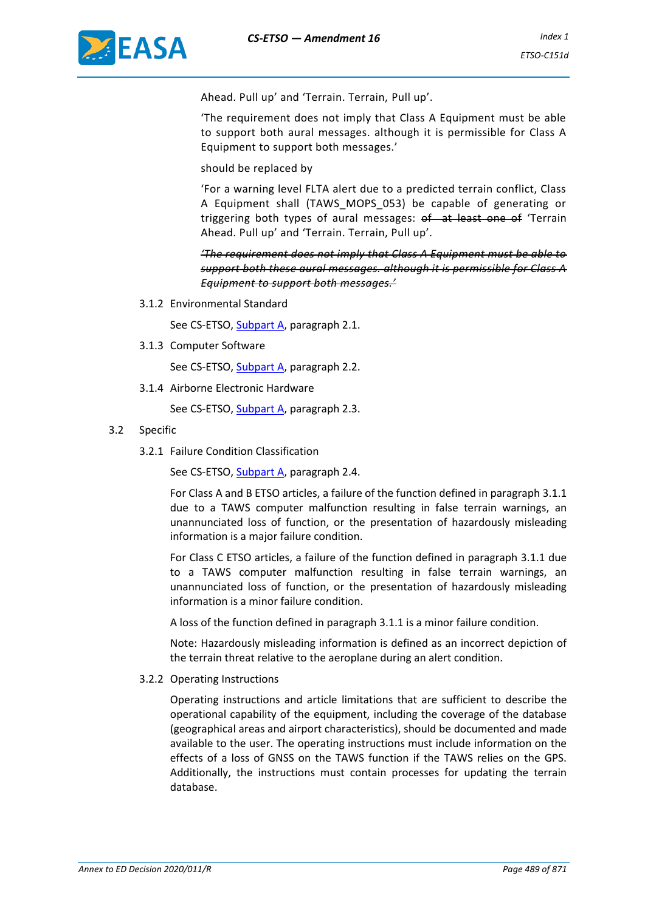

Ahead. Pull up' and 'Terrain. Terrain, Pull up'.

'The requirement does not imply that Class A Equipment must be able to support both aural messages. although it is permissible for Class A Equipment to support both messages.'

should be replaced by

'For a warning level FLTA alert due to a predicted terrain conflict, Class A Equipment shall (TAWS\_MOPS\_053) be capable of generating or triggering both types of aural messages: of at least one of 'Terrain Ahead. Pull up' and 'Terrain. Terrain, Pull up'.

*'The requirement does not imply that Class A Equipment must be able to support both these aural messages. although it is permissible for Class A Equipment to support both messages.'*

3.1.2 Environmental Standard

See CS-ETSO, Subpart A, paragraph 2.1.

3.1.3 Computer Software

See CS-ETSO, Subpart A, paragraph 2.2.

3.1.4 Airborne Electronic Hardware

See CS-ETSO, Subpart A, paragraph 2.3.

- 3.2 Specific
	- 3.2.1 Failure Condition Classification

See CS-ETSO, Subpart A, paragraph 2.4.

For Class A and B ETSO articles, a failure of the function defined in paragraph 3.1.1 due to a TAWS computer malfunction resulting in false terrain warnings, an unannunciated loss of function, or the presentation of hazardously misleading information is a major failure condition.

For Class C ETSO articles, a failure of the function defined in paragraph 3.1.1 due to a TAWS computer malfunction resulting in false terrain warnings, an unannunciated loss of function, or the presentation of hazardously misleading information is a minor failure condition.

A loss of the function defined in paragraph 3.1.1 is a minor failure condition.

Note: Hazardously misleading information is defined as an incorrect depiction of the terrain threat relative to the aeroplane during an alert condition.

#### 3.2.2 Operating Instructions

Operating instructions and article limitations that are sufficient to describe the operational capability of the equipment, including the coverage of the database (geographical areas and airport characteristics), should be documented and made available to the user. The operating instructions must include information on the effects of a loss of GNSS on the TAWS function if the TAWS relies on the GPS. Additionally, the instructions must contain processes for updating the terrain database.